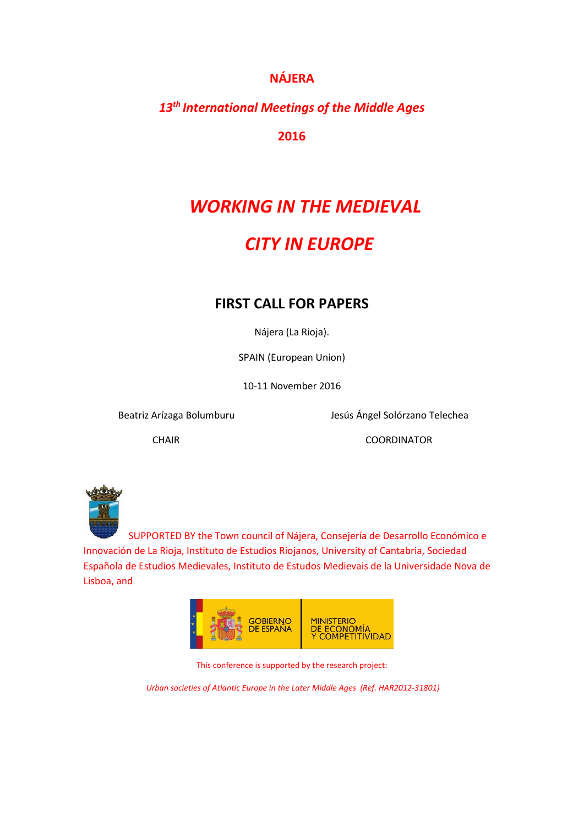### **NÁJERA**

## *13th International Meetings of the Middle Ages*

**2016**

# *WORKING IN THE MEDIEVAL*

## *CITY IN EUROPE*

## **FIRST CALL FOR PAPERS**

Nájera (La Rioja).

SPAIN (European Union)

10-11 November 2016

Beatriz Arízaga Bolumburu Jesús Ángel Solórzano Telechea

CHAIR COORDINATOR



 SUPPORTED BY the Town council of Nájera, Consejería de Desarrollo Económico e Innovación de La Rioja, Instituto de Estudios Riojanos, University of Cantabria, Sociedad Española de Estudios Medievales, Instituto de Estudos Medievais de la Universidade Nova de Lisboa, and



This conference is supported by the research project:

*Urban societies of Atlantic Europe in the Later Middle Ages (Ref. HAR2012-31801)*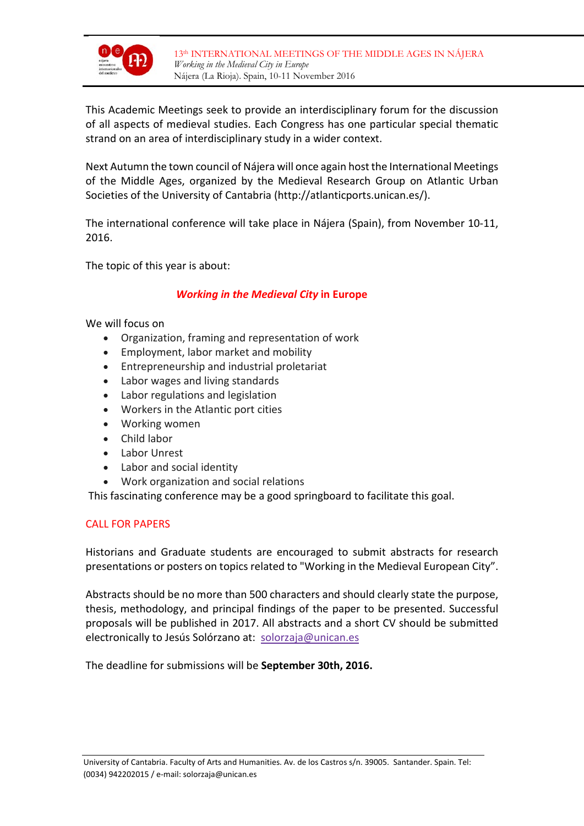

This Academic Meetings seek to provide an interdisciplinary forum for the discussion of all aspects of medieval studies. Each Congress has one particular special thematic strand on an area of interdisciplinary study in a wider context.

Next Autumn the town council of Nájera will once again host the International Meetings of the Middle Ages, organized by the Medieval Research Group on Atlantic Urban Societies of the University of Cantabria (http://atlanticports.unican.es/).

The international conference will take place in Nájera (Spain), from November 10-11, 2016.

The topic of this year is about:

#### *Working in the Medieval City* **in Europe**

We will focus on

- Organization, framing and representation of work
- Employment, labor market and mobility
- Entrepreneurship and industrial proletariat
- Labor wages and living standards
- Labor regulations and legislation
- Workers in the Atlantic port cities
- Working women
- Child labor
- Labor Unrest
- Labor and social identity
- Work organization and social relations

This fascinating conference may be a good springboard to facilitate this goal.

#### CALL FOR PAPERS

Historians and Graduate students are encouraged to submit abstracts for research presentations or posters on topics related to "Working in the Medieval European City".

Abstracts should be no more than 500 characters and should clearly state the purpose, thesis, methodology, and principal findings of the paper to be presented. Successful proposals will be published in 2017. All abstracts and a short CV should be submitted electronically to Jesús Solórzano at: [solorzaja@unican.es](mailto:solorzaja@unican.es)

The deadline for submissions will be **September 30th, 2016.**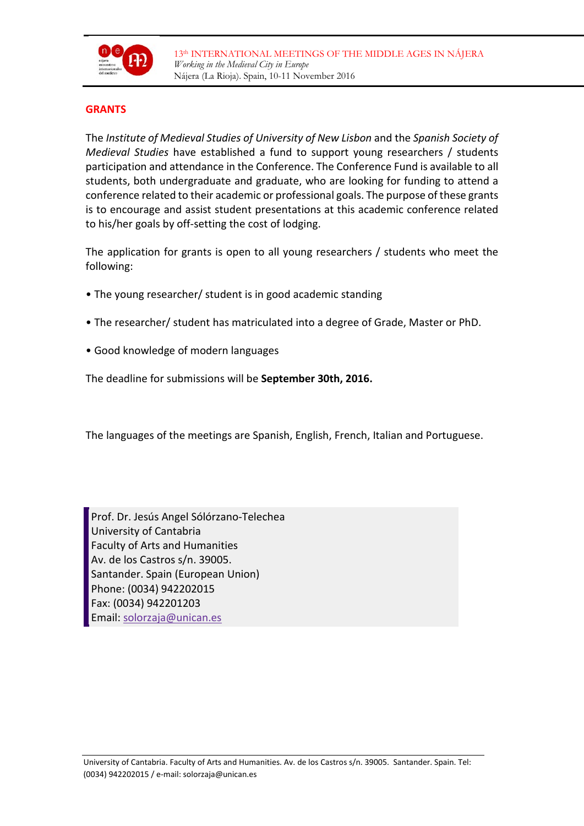

#### **GRANTS**

The *Institute of Medieval Studies of University of New Lisbon* and the *Spanish Society of Medieval Studies* have established a fund to support young researchers / students participation and attendance in the Conference. The Conference Fund is available to all students, both undergraduate and graduate, who are looking for funding to attend a conference related to their academic or professional goals. The purpose of these grants is to encourage and assist student presentations at this academic conference related to his/her goals by off-setting the cost of lodging.

The application for grants is open to all young researchers / students who meet the following:

- The young researcher/ student is in good academic standing
- The researcher/ student has matriculated into a degree of Grade, Master or PhD.
- Good knowledge of modern languages

The deadline for submissions will be **September 30th, 2016.**

The languages of the meetings are Spanish, English, French, Italian and Portuguese.

Prof. Dr. Jesús Angel Sólórzano-Telechea University of Cantabria Faculty of Arts and Humanities Av. de los Castros s/n. 39005. Santander. Spain (European Union) Phone: (0034) 942202015 Fax: (0034) 942201203 Email: [solorzaja@unican.es](mailto:solorzaja@unican.es)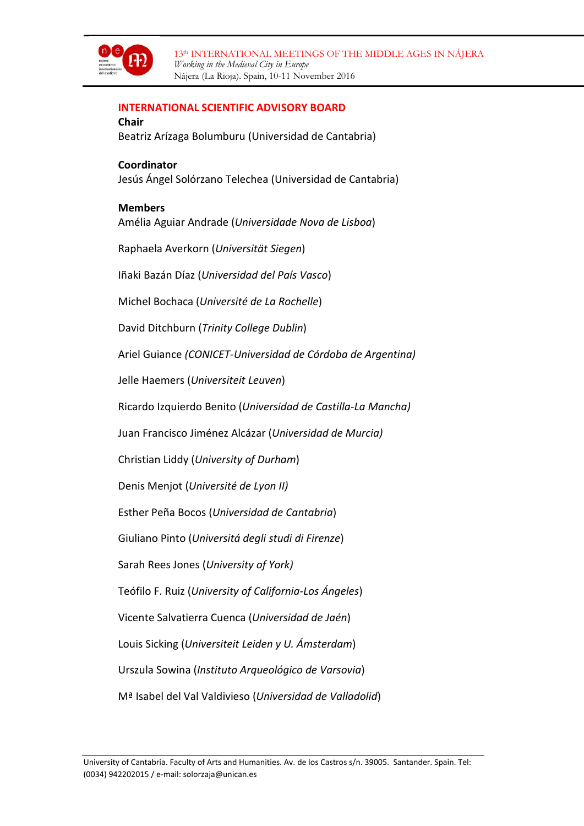

#### **INTERNATIONAL SCIENTIFIC ADVISORY BOARD**

**Chair** Beatriz Arízaga Bolumburu (Universidad de Cantabria)

**Coordinator** Jesús Ángel Solórzano Telechea (Universidad de Cantabria)

#### **Members**

[Amélia Aguiar Andrade](mailto:aman@fcsh.unl.pt) (*Universidade Nova de Lisboa*)

[Raphaela Averkorn](mailto:averkorn@geschichte.uni-siegen.de) (*Universität Siegen*)

Iñaki Bazán Díaz (*Universidad del País Vasco*)

[Michel Bochaca](mailto:mbochaca@univ-lr.fr) (*Université de La Rochelle*)

David Ditchburn (*Trinity College Dublin*)

[Ariel Guiance](mailto:aguiance@hotmail.com) *(CONICET-Universidad de Córdoba de Argentina)*

Jelle Haemers (*Universiteit Leuven*)

[Ricardo Izquierdo Benito](mailto:Ricardo.IBenito@uclm.es) (*Universidad de Castilla-La Mancha)*

Juan Francisco Jiménez Alcázar (*Universidad de Murcia)*

Christian Liddy (*University of Durham*)

[Denis Menjot](mailto:denis.menjot@univ-lyon2.fr) (*Université de Lyon II)*

Esther Peña Bocos (*Universidad de Cantabria*)

[Giuliano Pinto](mailto:gipinto@unifi.it) (*Universitá degli studi di Firenze*)

[Sarah Rees Jones](mailto:srrj1@york.ac.uk) (*University of York)*

Teófilo F. Ruiz (*University of California-Los Ángeles*)

[Vicente Salvatierra Cuenca](mailto:vsalvati@ujaen.es) (*Universidad de Jaén*)

[Louis Sicking](mailto:L.H.J.Sicking@hum.leidenuniv.nl) (*Universiteit Leiden y U. Ámsterdam*)

[Urszula Sowina](mailto:sowina@iaepan.edu.pl) (*Instituto Arqueológico de Varsovia*)

Mª [Isabel del Val Valdivieso](mailto:delval@fyl.uva.es) (*Universidad de Valladolid*)